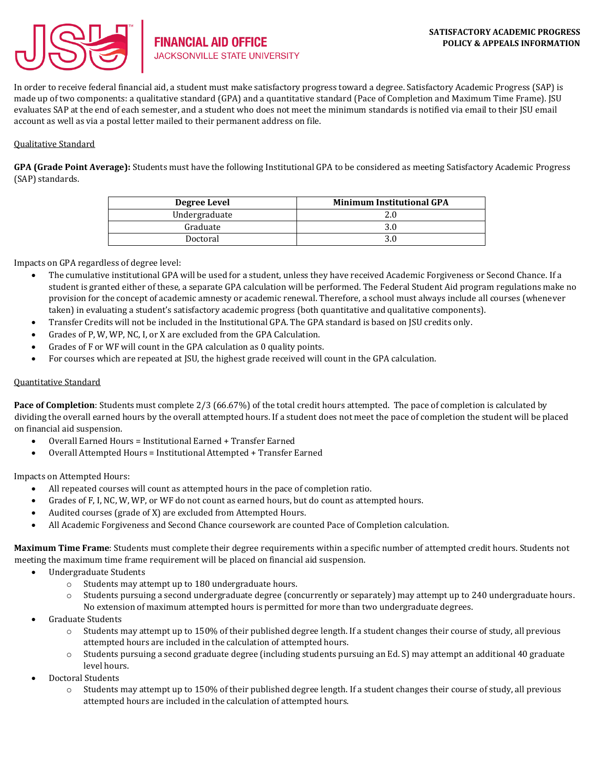

In order to receive federal financial aid, a student must make satisfactory progress toward a degree. Satisfactory Academic Progress (SAP) is made up of two components: a qualitative standard (GPA) and a quantitative standard (Pace of Completion and Maximum Time Frame). JSU evaluates SAP at the end of each semester, and a student who does not meet the minimum standards is notified via email to their JSU email account as well as via a postal letter mailed to their permanent address on file.

# Qualitative Standard

**GPA (Grade Point Average):** Students must have the following Institutional GPA to be considered as meeting Satisfactory Academic Progress (SAP) standards.

| Degree Level  | <b>Minimum Institutional GPA</b> |
|---------------|----------------------------------|
| Undergraduate | 2.0                              |
| Graduate      |                                  |
| Doctoral      |                                  |

Impacts on GPA regardless of degree level:

- The cumulative institutional GPA will be used for a student, unless they have received Academic Forgiveness or Second Chance. If a student is granted either of these, a separate GPA calculation will be performed. The Federal Student Aid program regulations make no provision for the concept of academic amnesty or academic renewal. Therefore, a school must always include all courses (whenever taken) in evaluating a student's satisfactory academic progress (both quantitative and qualitative components).
- Transfer Credits will not be included in the Institutional GPA. The GPA standard is based on JSU credits only.
- Grades of P, W, WP, NC, I, or X are excluded from the GPA Calculation.
- Grades of F or WF will count in the GPA calculation as 0 quality points.
- For courses which are repeated at JSU, the highest grade received will count in the GPA calculation.

# Quantitative Standard

**Pace of Completion**: Students must complete 2/3 (66.67%) of the total credit hours attempted. The pace of completion is calculated by dividing the overall earned hours by the overall attempted hours. If a student does not meet the pace of completion the student will be placed on financial aid suspension.

- Overall Earned Hours = Institutional Earned + Transfer Earned
- Overall Attempted Hours = Institutional Attempted + Transfer Earned

Impacts on Attempted Hours:

- All repeated courses will count as attempted hours in the pace of completion ratio.
- Grades of F, I, NC, W, WP, or WF do not count as earned hours, but do count as attempted hours.
- Audited courses (grade of X) are excluded from Attempted Hours.
- All Academic Forgiveness and Second Chance coursework are counted Pace of Completion calculation.

**Maximum Time Frame**: Students must complete their degree requirements within a specific number of attempted credit hours. Students not meeting the maximum time frame requirement will be placed on financial aid suspension.

- Undergraduate Students
	- o Students may attempt up to 180 undergraduate hours.
	- o Students pursuing a second undergraduate degree (concurrently or separately) may attempt up to 240 undergraduate hours. No extension of maximum attempted hours is permitted for more than two undergraduate degrees.
- Graduate Students
	- $\circ$  Students may attempt up to 150% of their published degree length. If a student changes their course of study, all previous attempted hours are included in the calculation of attempted hours.
	- o Students pursuing a second graduate degree (including students pursuing an Ed. S) may attempt an additional 40 graduate level hours.
- Doctoral Students
	- $\circ$  Students may attempt up to 150% of their published degree length. If a student changes their course of study, all previous attempted hours are included in the calculation of attempted hours.